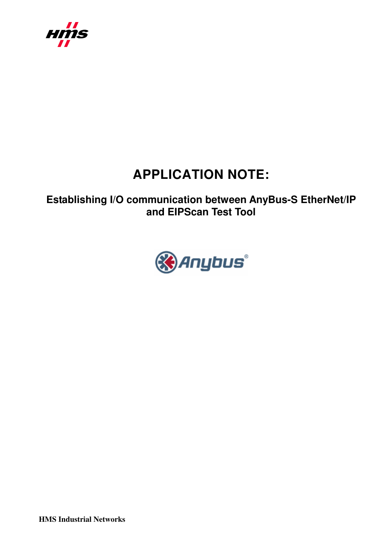

# **APPLICATION NOTE:**

**Establishing I/O communication between AnyBus-S EtherNet/IP and EIPScan Test Tool** 



**HMS Industrial Networks**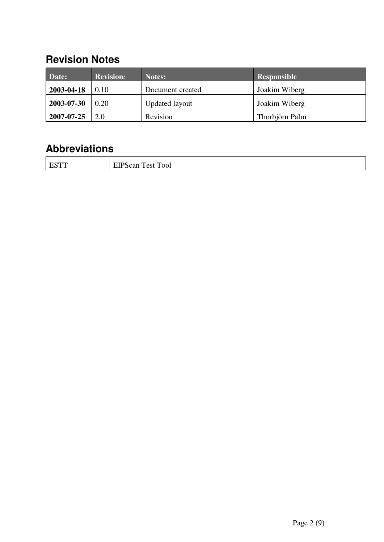## **Revision Notes**

| Date:      | <b>Revision:</b> | Notes:                | Responsible    |
|------------|------------------|-----------------------|----------------|
| 2003-04-18 | 0.10             | Document created      | Joakim Wiberg  |
| 2003-07-30 | 0.20             | <b>Updated layout</b> | Joakim Wiberg  |
| 2007-07-25 | 2.0              | Revision              | Thorbjörn Palm |

## **Abbreviations**

| -<br>$  -$ | $\mathbf{r}$<br>m<br><b>OOI</b><br>$\sim$<br>est<br>-<br>ЯΓ |
|------------|-------------------------------------------------------------|
|            |                                                             |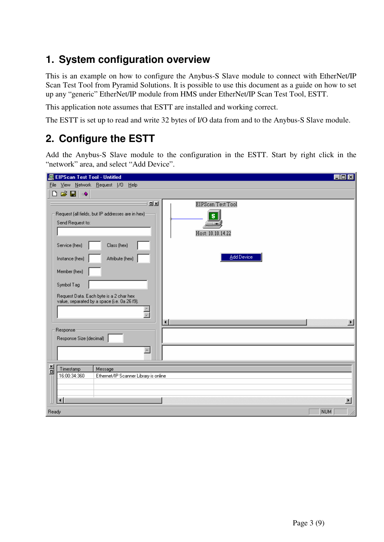#### **1. System configuration overview**

This is an example on how to configure the Anybus-S Slave module to connect with EtherNet/IP Scan Test Tool from Pyramid Solutions. It is possible to use this document as a guide on how to set up any "generic" EtherNet/IP module from HMS under EtherNet/IP Scan Test Tool, ESTT.

This application note assumes that ESTT are installed and working correct.

The ESTT is set up to read and write 32 bytes of I/O data from and to the Anybus-S Slave module.

#### **2. Configure the ESTT**

Add the Anybus-S Slave module to the configuration in the ESTT. Start by right click in the "network" area, and select "Add Device".

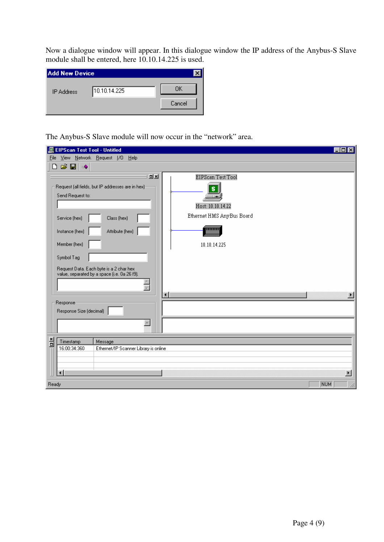Now a dialogue window will appear. In this dialogue window the IP address of the Anybus-S Slave module shall be entered, here 10.10.14.225 is used.

| <b>Add New Device</b> |              |        |
|-----------------------|--------------|--------|
| <b>IP Address</b>     | 10.10.14.225 | ΠK     |
|                       |              | Cancel |
|                       |              |        |

The Anybus-S Slave module will now occur in the "network" area.

| <b>图 EIPScan Test Tool - Untitled</b>                                                                                                                                                                                                                                                  | $\overline{z}$ $\overline{z}$ $\overline{z}$ $\overline{z}$                                                                  |
|----------------------------------------------------------------------------------------------------------------------------------------------------------------------------------------------------------------------------------------------------------------------------------------|------------------------------------------------------------------------------------------------------------------------------|
| View Network Request I/O Help<br><b>Eile</b>                                                                                                                                                                                                                                           |                                                                                                                              |
| G U<br>ہ<br>- 0                                                                                                                                                                                                                                                                        |                                                                                                                              |
| <b>미지</b><br>Request (all fields, but IP addresses are in hex):<br>Send Request to:<br>Service (hex)<br>Class (hex)<br>Attribute (hex)<br>Instance (hex)<br>Member (hex)<br>Symbol Tag<br>Request Data. Each byte is a 2 char hex<br>value, separated by a space (i.e. 0a 26 f9).<br>Ē | EIPScan Test Tool<br>$\overline{\mathbf{s}}$<br>س ا<br>Host: 10.10.14.22<br>Ethernet HMS AnyBus Board<br>mmm<br>10.10.14.225 |
| Responser<br>Response Size (decimal)<br>$\triangleq$                                                                                                                                                                                                                                   | $\left  \cdot \right $                                                                                                       |
| <u>레</u><br>Message<br>Timestamp<br>16:00:34:360<br>Ethernet/IP Scanner Library is online<br>∢                                                                                                                                                                                         | $\blacktriangleright$<br>NUM                                                                                                 |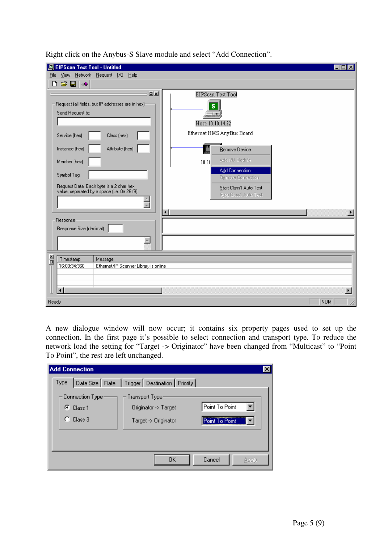| <b>EIPScan Test Tool - Untitled</b><br>回                                                                                                                                                                                                                                                                                                                                                                                                                                                                                    | - 10                  |
|-----------------------------------------------------------------------------------------------------------------------------------------------------------------------------------------------------------------------------------------------------------------------------------------------------------------------------------------------------------------------------------------------------------------------------------------------------------------------------------------------------------------------------|-----------------------|
| View Network Request I/D Help<br>Eile<br>G H<br>٦<br>一番                                                                                                                                                                                                                                                                                                                                                                                                                                                                     |                       |
| <u>미지</u><br>EIPScan Test Tool<br>Request (all fields, but IP addresses are in hex):<br>s<br>Send Request to:<br>Host: 10.10.14.22<br>Ethernet HMS AnyBus Board<br>Service (hex)<br>Class (hex)<br>Attribute (hex)<br>Instance (hex)<br>Remove Device<br>Add I/O Module<br>Member (hex)<br>10.10<br><b>Add Connection</b><br>Symbol Tag<br>Remove Connection<br>Request Data. Each byte is a 2 char hex<br>Start Class1 Auto Test<br>value, separated by a space (i.e. 0a 26 f9).<br>Stop Class1 Auto Test<br>$\frac{1}{2}$ |                       |
| $\blacksquare$<br>Response<br>Response Size (decimal)<br>$\triangleq$                                                                                                                                                                                                                                                                                                                                                                                                                                                       |                       |
| <u>레</u><br>Timestamp<br>Message<br>16:00:34:360<br>Ethernet/IP Scanner Library is online                                                                                                                                                                                                                                                                                                                                                                                                                                   | $\blacktriangleright$ |
| Ready                                                                                                                                                                                                                                                                                                                                                                                                                                                                                                                       | <b>NUM</b>            |

Right click on the Anybus-S Slave module and select "Add Connection".

A new dialogue window will now occur; it contains six property pages used to set up the connection. In the first page it's possible to select connection and transport type. To reduce the network load the setting for "Target -> Originator" have been changed from "Multicast" to "Point To Point", the rest are left unchanged.

| <b>Add Connection</b>                                   |                                                                 |                                  |
|---------------------------------------------------------|-----------------------------------------------------------------|----------------------------------|
| Type                                                    | Data Size   Rate   Trigger   Destination   Priority             |                                  |
| Connection Type:<br>$\mathbf{F}$ Class 1<br>$C$ Class 3 | Transport Type:<br>Originator -> Target<br>Target -> Originator | Point To Point<br>Point To Point |
|                                                         |                                                                 |                                  |
|                                                         | OΚ                                                              | Cancel<br>Apply                  |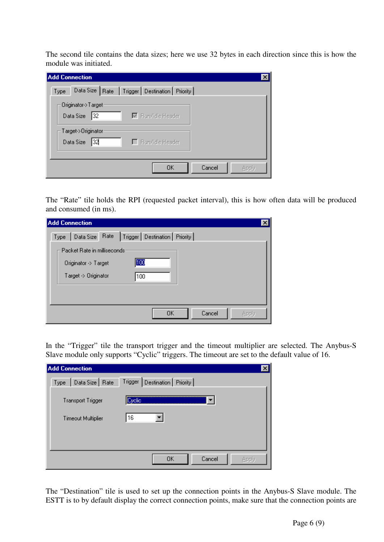The second tile contains the data sizes; here we use 32 bytes in each direction since this is how the module was initiated.

| <b>Add Connection</b><br>×                                                   |
|------------------------------------------------------------------------------|
| Data Size   Rate   Trigger   Destination   Priority  <br>Type                |
| Originator->Target<br>Data Size 32<br>$\overline{\boxtimes}$ Run/Idle Header |
| Target->Originator<br>Data Size<br> 32 <br>Film/Idle Header                  |
| OΚ<br>Cancel<br>Apply                                                        |

The "Rate" tile holds the RPI (requested packet interval), this is how often data will be produced and consumed (in ms).

| <b>Add Connection</b>                                      | × |
|------------------------------------------------------------|---|
| Type   Data Size   Rate   Trigger   Destination   Priority |   |
| Packet Rate in milliseconds<br>100<br>Originator -> Target |   |
| Target -> Originator<br>100                                |   |
|                                                            |   |
| ΟK<br>Cancel<br>Applu                                      |   |

In the "Trigger" tile the transport trigger and the timeout multiplier are selected. The Anybus-S Slave module only supports "Cyclic" triggers. The timeout are set to the default value of 16.

| <b>Add Connection</b>     |                                  |  |
|---------------------------|----------------------------------|--|
| Data Size   Rate<br>Type  | Trigger   Destination   Priority |  |
| <b>Transport Trigger</b>  | Cyclic,                          |  |
| <b>Timeout Multiplier</b> | 16                               |  |
|                           |                                  |  |
|                           | 0K<br>Cancel<br>Annlu            |  |

The "Destination" tile is used to set up the connection points in the Anybus-S Slave module. The ESTT is to by default display the correct connection points, make sure that the connection points are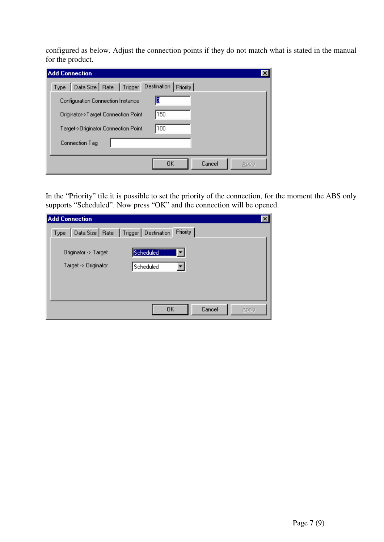configured as below. Adjust the connection points if they do not match what is stated in the manual for the product.

| <b>Add Connection</b>                         |              |
|-----------------------------------------------|--------------|
| Type   Data Size   Rate   Trigger Destination | Priority     |
| Configuration Connection Instance             | ß            |
| Originator->Target Connection Point           | 150          |
| Target->Originator Connection Point           | 100          |
| Connection Tag                                |              |
|                                               |              |
|                                               | OΚ<br>Cancel |

In the "Priority" tile it is possible to set the priority of the connection, for the moment the ABS only supports "Scheduled". Now press "OK" and the connection will be opened.

| <b>Add Connection</b> |                                                            | ×     |
|-----------------------|------------------------------------------------------------|-------|
|                       | Type   Data Size   Rate   Trigger   Destination   Priority |       |
|                       |                                                            |       |
| Originator -> Target  | Scheduled                                                  |       |
| Target -> Originator  | Scheduled                                                  |       |
|                       |                                                            |       |
|                       |                                                            |       |
|                       |                                                            |       |
|                       | <b>OK</b><br>Cancel                                        | Apply |
|                       |                                                            |       |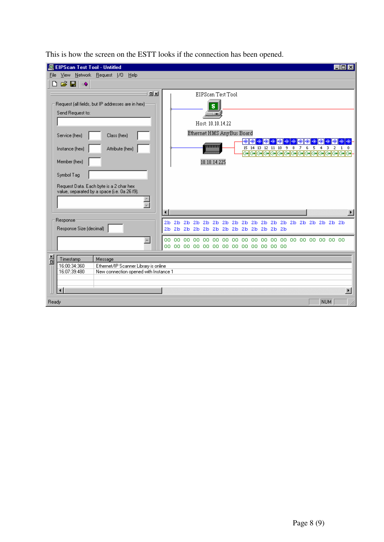| <b>EIPScan Test Tool - Untitled</b>                                                                                                                                                                                                                                                      |                                                                                                                                                                                                                      |                                                   |
|------------------------------------------------------------------------------------------------------------------------------------------------------------------------------------------------------------------------------------------------------------------------------------------|----------------------------------------------------------------------------------------------------------------------------------------------------------------------------------------------------------------------|---------------------------------------------------|
| View Network Request 1/0<br>File<br>Help<br>e H<br>⊹Ŝ                                                                                                                                                                                                                                    |                                                                                                                                                                                                                      |                                                   |
| <b>DIXI</b><br>Request (all fields, but IP addresses are in hex):<br>Send Request to:<br>Service (hex)<br>Class (hex)<br>Attribute (hex)<br>Instance (hex)<br>Member (hex)<br>Symbol Tag<br>Request Data. Each byte is a 2 char hex<br>value, separated by a space (i.e. 0a 26 f9).<br>Ħ | EIPScan Test Tool<br>s<br>Host: 10.10.14.22<br>Ethernet HMS AnyBus Board<br>⊕∥⊛∣<br>⊕<br>⊕<br>⊕<br>mmm<br>15 14 13 12 11 10 9<br>$\overline{z}$<br>8<br>ञ्जञञञञञञञञञञञञञञञञञञञञञञञ<br>10.10.14.225<br>$\blacksquare$ | ⊕<br>6<br>5<br>3.<br>2<br>4<br>$\mathbf{1}$<br>0. |
| Response                                                                                                                                                                                                                                                                                 |                                                                                                                                                                                                                      |                                                   |
| Response Size (decimal)                                                                                                                                                                                                                                                                  |                                                                                                                                                                                                                      |                                                   |
| $\blacktriangle$                                                                                                                                                                                                                                                                         | OO.<br>00 00 00 00 00 00 00 00 00 00 00 00 00                                                                                                                                                                        |                                                   |
| 흼<br>Timestamp<br>Message<br>16:00:34:360<br>Ethernet/IP Scanner Library is online<br>16:07:39:480<br>New connection opened with Instance 1<br>$\blacktriangleleft$                                                                                                                      |                                                                                                                                                                                                                      | $\blacktriangleright$                             |
| Ready                                                                                                                                                                                                                                                                                    |                                                                                                                                                                                                                      | NUM<br>n                                          |

This is how the screen on the ESTT looks if the connection has been opened.